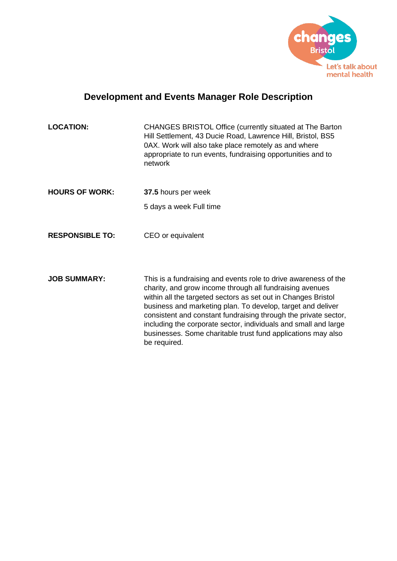

# **Development and Events Manager Role Description**

| <b>LOCATION:</b> | CHANGES BRISTOL Office (currently situated at The Barton<br>Hill Settlement, 43 Ducie Road, Lawrence Hill, Bristol, BS5<br>0AX. Work will also take place remotely as and where<br>appropriate to run events, fundraising opportunities and to<br>network |
|------------------|-----------------------------------------------------------------------------------------------------------------------------------------------------------------------------------------------------------------------------------------------------------|
|                  |                                                                                                                                                                                                                                                           |

**HOURS OF WORK: 37.5** hours per week 5 days a week Full time

**RESPONSIBLE TO:** CEO or equivalent

**JOB SUMMARY:** This is a fundraising and events role to drive awareness of the charity, and grow income through all fundraising avenues within all the targeted sectors as set out in Changes Bristol business and marketing plan. To develop, target and deliver consistent and constant fundraising through the private sector, including the corporate sector, individuals and small and large businesses. Some charitable trust fund applications may also be required.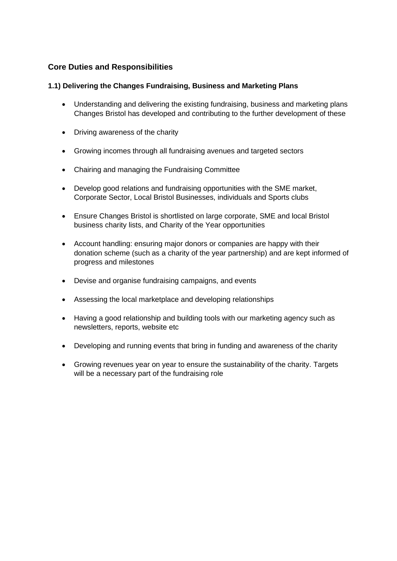## **Core Duties and Responsibilities**

#### **1.1) Delivering the Changes Fundraising, Business and Marketing Plans**

- Understanding and delivering the existing fundraising, business and marketing plans Changes Bristol has developed and contributing to the further development of these
- Driving awareness of the charity
- Growing incomes through all fundraising avenues and targeted sectors
- Chairing and managing the Fundraising Committee
- Develop good relations and fundraising opportunities with the SME market, Corporate Sector, Local Bristol Businesses, individuals and Sports clubs
- Ensure Changes Bristol is shortlisted on large corporate, SME and local Bristol business charity lists, and Charity of the Year opportunities
- Account handling: ensuring major donors or companies are happy with their donation scheme (such as a charity of the year partnership) and are kept informed of progress and milestones
- Devise and organise fundraising campaigns, and events
- Assessing the local marketplace and developing relationships
- Having a good relationship and building tools with our marketing agency such as newsletters, reports, website etc
- Developing and running events that bring in funding and awareness of the charity
- Growing revenues year on year to ensure the sustainability of the charity. Targets will be a necessary part of the fundraising role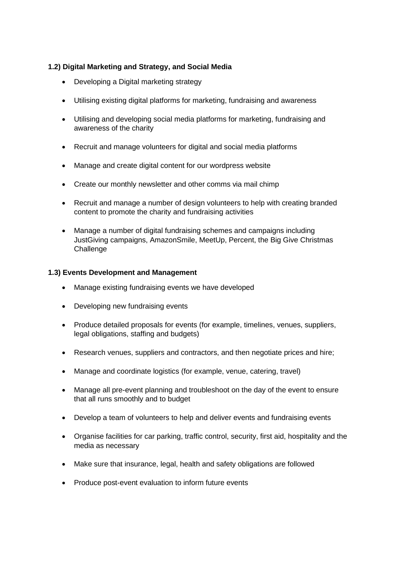## **1.2) Digital Marketing and Strategy, and Social Media**

- Developing a Digital marketing strategy
- Utilising existing digital platforms for marketing, fundraising and awareness
- Utilising and developing social media platforms for marketing, fundraising and awareness of the charity
- Recruit and manage volunteers for digital and social media platforms
- Manage and create digital content for our wordpress website
- Create our monthly newsletter and other comms via mail chimp
- Recruit and manage a number of design volunteers to help with creating branded content to promote the charity and fundraising activities
- Manage a number of digital fundraising schemes and campaigns including JustGiving campaigns, AmazonSmile, MeetUp, Percent, the Big Give Christmas **Challenge**

## **1.3) Events Development and Management**

- Manage existing fundraising events we have developed
- Developing new fundraising events
- Produce detailed proposals for events (for example, timelines, venues, suppliers, legal obligations, staffing and budgets)
- Research venues, suppliers and contractors, and then negotiate prices and hire;
- Manage and coordinate logistics (for example, venue, catering, travel)
- Manage all pre-event planning and troubleshoot on the day of the event to ensure that all runs smoothly and to budget
- Develop a team of volunteers to help and deliver events and fundraising events
- Organise facilities for car parking, traffic control, security, first aid, hospitality and the media as necessary
- Make sure that insurance, legal, health and safety obligations are followed
- Produce post-event evaluation to inform future events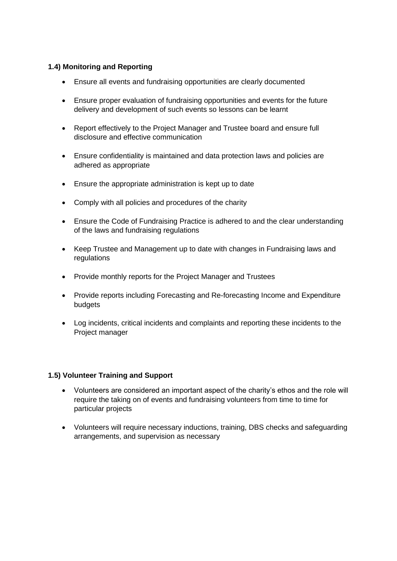## **1.4) Monitoring and Reporting**

- Ensure all events and fundraising opportunities are clearly documented
- Ensure proper evaluation of fundraising opportunities and events for the future delivery and development of such events so lessons can be learnt
- Report effectively to the Project Manager and Trustee board and ensure full disclosure and effective communication
- Ensure confidentiality is maintained and data protection laws and policies are adhered as appropriate
- Ensure the appropriate administration is kept up to date
- Comply with all policies and procedures of the charity
- Ensure the Code of Fundraising Practice is adhered to and the clear understanding of the laws and fundraising regulations
- Keep Trustee and Management up to date with changes in Fundraising laws and regulations
- Provide monthly reports for the Project Manager and Trustees
- Provide reports including Forecasting and Re-forecasting Income and Expenditure budgets
- Log incidents, critical incidents and complaints and reporting these incidents to the Project manager

#### **1.5) Volunteer Training and Support**

- Volunteers are considered an important aspect of the charity's ethos and the role will require the taking on of events and fundraising volunteers from time to time for particular projects
- Volunteers will require necessary inductions, training, DBS checks and safeguarding arrangements, and supervision as necessary